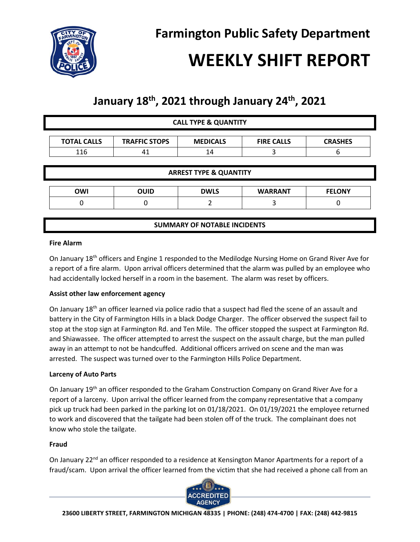

# **WEEKLY SHIFT REPORT**

## **January 18th , 2021 through January 24th, 2021**

| <b>CALL TYPE &amp; QUANTITY</b>   |                      |                                     |                   |                |
|-----------------------------------|----------------------|-------------------------------------|-------------------|----------------|
| <b>TOTAL CALLS</b>                | <b>TRAFFIC STOPS</b> | <b>MEDICALS</b>                     | <b>FIRE CALLS</b> | <b>CRASHES</b> |
| 116                               | 41                   | 14                                  | 3                 | 6              |
| <b>ARREST TYPE &amp; QUANTITY</b> |                      |                                     |                   |                |
|                                   |                      |                                     |                   |                |
| <b>OWI</b>                        | <b>OUID</b>          | <b>DWLS</b>                         | <b>WARRANT</b>    | <b>FELONY</b>  |
| 0                                 | 0                    |                                     | 3                 |                |
|                                   |                      |                                     |                   |                |
|                                   |                      | <b>SUMMARY OF NOTABLE INCIDENTS</b> |                   |                |

#### **Fire Alarm**

On January 18<sup>th</sup> officers and Engine 1 responded to the Medilodge Nursing Home on Grand River Ave for a report of a fire alarm. Upon arrival officers determined that the alarm was pulled by an employee who had accidentally locked herself in a room in the basement. The alarm was reset by officers.

### **Assist other law enforcement agency**

On January 18<sup>th</sup> an officer learned via police radio that a suspect had fled the scene of an assault and battery in the City of Farmington Hills in a black Dodge Charger. The officer observed the suspect fail to stop at the stop sign at Farmington Rd. and Ten Mile. The officer stopped the suspect at Farmington Rd. and Shiawassee. The officer attempted to arrest the suspect on the assault charge, but the man pulled away in an attempt to not be handcuffed. Additional officers arrived on scene and the man was arrested. The suspect was turned over to the Farmington Hills Police Department.

### **Larceny of Auto Parts**

On January 19<sup>th</sup> an officer responded to the Graham Construction Company on Grand River Ave for a report of a larceny. Upon arrival the officer learned from the company representative that a company pick up truck had been parked in the parking lot on 01/18/2021. On 01/19/2021 the employee returned to work and discovered that the tailgate had been stolen off of the truck. The complainant does not know who stole the tailgate.

#### **Fraud**

On January 22<sup>nd</sup> an officer responded to a residence at Kensington Manor Apartments for a report of a fraud/scam. Upon arrival the officer learned from the victim that she had received a phone call from an